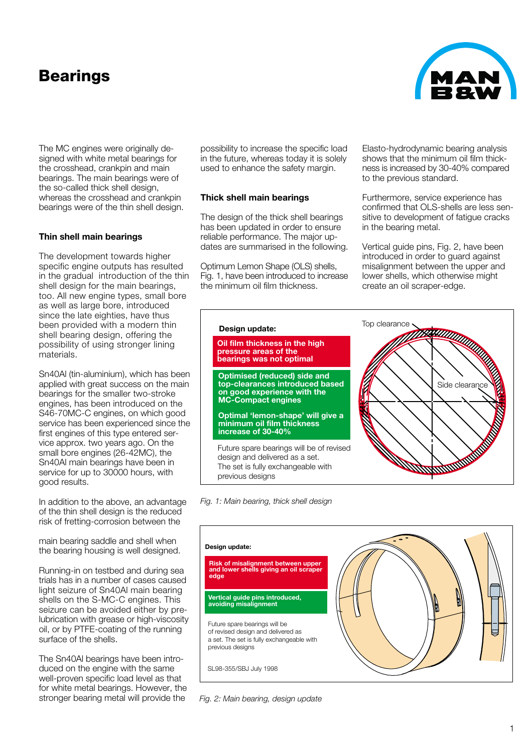# **Bearings**



## **Thin shell main bearings**

The development towards higher specific engine outputs has resulted in the gradual introduction of the thin shell design for the main bearings, too. All new engine types, small bore as well as large bore, introduced since the late eighties, have thus been provided with a modern thin shell bearing design, offering the possibility of using stronger lining materials.

Sn40Al (tin-aluminium), which has been applied with great success on the main bearings for the smaller two-stroke engines, has been introduced on the S46-70MC-C engines, on which good service has been experienced since the first engines of this type entered service approx. two years ago. On the small bore engines (26-42MC), the Sn40Al main bearings have been in service for up to 30000 hours, with good results.

In addition to the above, an advantage of the thin shell design is the reduced risk of fretting-corrosion between the

main bearing saddle and shell when the bearing housing is well designed.

Running-in on testbed and during sea trials has in a number of cases caused light seizure of Sn40Al main bearing shells on the S-MC-C engines. This seizure can be avoided either by prelubrication with grease or high-viscosity oil, or by PTFE-coating of the running surface of the shells.

The Sn40Al bearings have been introduced on the engine with the same well-proven specific load level as that for white metal bearings. However, the stronger bearing metal will provide the

possibility to increase the specific load in the future, whereas today it is solely used to enhance the safety margin.

#### **Thick shell main bearings**

The design of the thick shell bearings has been updated in order to ensure reliable performance. The major updates are summarised in the following.

Optimum Lemon Shape (OLS) shells, Fig. 1, have been introduced to increase the minimum oil film thickness.

> **pressure areas of the bearings was not optimal**

**Design update:**

**MC-Compact engines**

**increase of 30-40%**

Elasto-hydrodynamic bearing analysis shows that the minimum oil film thickness is increased by 30-40% compared to the previous standard.

Furthermore, service experience has confirmed that OLS-shells are less sensitive to development of fatigue cracks in the bearing metal.

Vertical guide pins, Fig. 2, have been introduced in order to guard against misalignment between the upper and lower shells, which otherwise might create an oil scraper-edge.



*Fig. 1: Main bearing, thick shell design*

previous designs





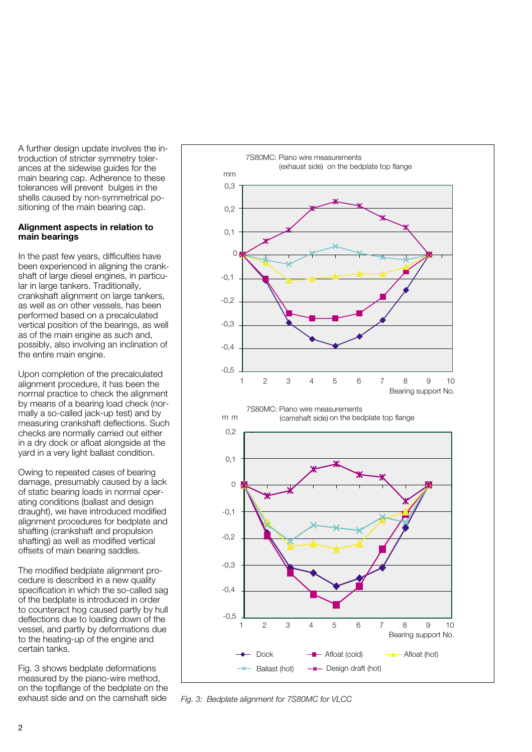A further design update involves the introduction of stricter symmetry tolerances at the sidewise guides for the main bearing cap. Adherence to these tolerances will prevent bulges in the shells caused by non-symmetrical positioning of the main bearing cap.

#### **Alignment aspects in relation to main bearings**

In the past few years, difficulties have been experienced in aligning the crankshaft of large diesel engines, in particular in large tankers. Traditionally, crankshaft alignment on large tankers, as well as on other vessels, has been performed based on a precalculated vertical position of the bearings, as well as of the main engine as such and, possibly, also involving an inclination of the entire main engine.

Upon completion of the precalculated alignment procedure, it has been the normal practice to check the alignment by means of a bearing load check (normally a so-called jack-up test) and by measuring crankshaft deflections. Such checks are normally carried out either in a dry dock or afloat alongside at the yard in a very light ballast condition.

Owing to repeated cases of bearing damage, presumably caused by a lack of static bearing loads in normal operating conditions (ballast and design draught), we have introduced modified alignment procedures for bedplate and shafting (crankshaft and propulsion shafting) as well as modified vertical offsets of main bearing saddles.

The modified bedplate alignment procedure is described in a new quality specification in which the so-called sag of the bedplate is introduced in order to counteract hog caused partly by hull deflections due to loading down of the vessel, and partly by deformations due to the heating-up of the engine and certain tanks.

Fig. 3 shows bedplate deformations measured by the piano-wire method, on the topflange of the bedplate on the exhaust side and on the camshaft side



*Fig. 3: Bedplate alignment for 7S80MC for VLCC*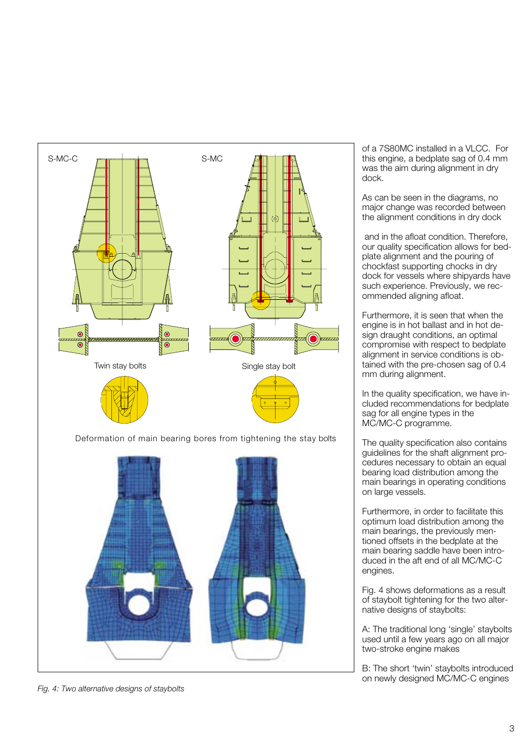

*Fig. 4: Two alternative designs of staybolts*

of a 7S80MC installed in a VLCC. For this engine, a bedplate sag of 0.4 mm was the aim during alignment in dry dock.

As can be seen in the diagrams, no major change was recorded between the alignment conditions in dry dock

and in the afloat condition. Therefore, our quality specification allows for bedplate alignment and the pouring of chockfast supporting chocks in dry dock for vessels where shipyards have such experience. Previously, we recommended aligning afloat.

Furthermore, it is seen that when the engine is in hot ballast and in hot design draught conditions, an optimal compromise with respect to bedplate alignment in service conditions is obtained with the pre-chosen sag of 0.4 mm during alignment.

In the quality specification, we have included recommendations for bedplate sag for all engine types in the MC/MC-C programme.

The quality specification also contains guidelines for the shaft alignment procedures necessary to obtain an equal bearing load distribution among the main bearings in operating conditions on large vessels.

Furthermore, in order to facilitate this optimum load distribution among the main bearings, the previously mentioned offsets in the bedplate at the main bearing saddle have been introduced in the aft end of all MC/MC-C engines.

Fig. 4 shows deformations as a result of staybolt tightening for the two alternative designs of staybolts:

A: The traditional long 'single' staybolts used until a few years ago on all major two-stroke engine makes

B: The short 'twin' staybolts introduced on newly designed MC/MC-C engines